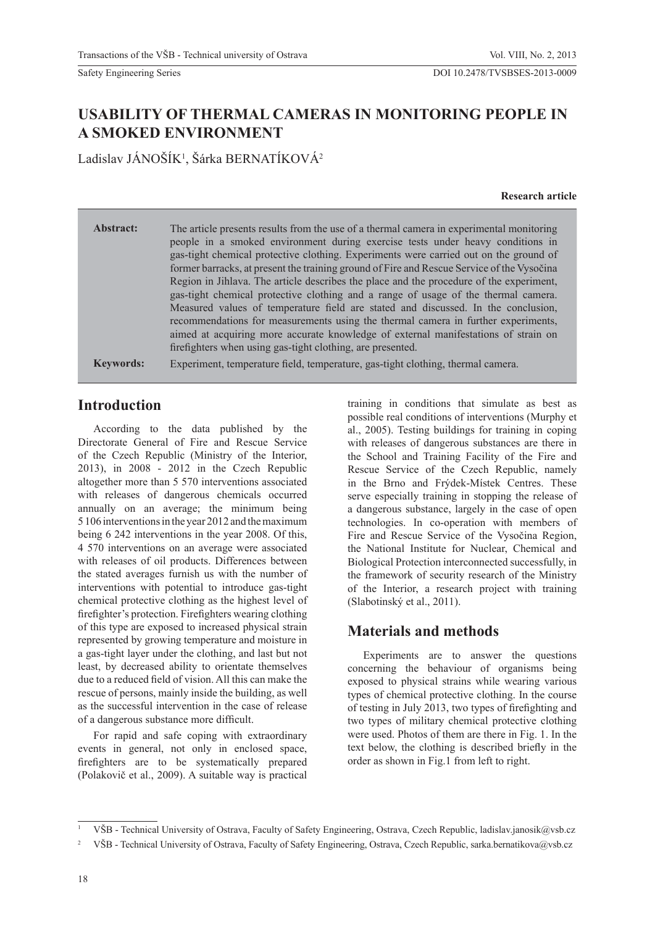# **USABILITY OF THERMAL CAMERAS IN MONITORING PEOPLE IN A SMOKED ENVIRONMENT**

Ladislav JÁNOŠÍK<sup>1</sup>, Šárka BERNATÍKOVÁ<sup>2</sup>

#### **Research article**

| Abstract:        | The article presents results from the use of a thermal camera in experimental monitoring<br>people in a smoked environment during exercise tests under heavy conditions in<br>gas-tight chemical protective clothing. Experiments were carried out on the ground of<br>former barracks, at present the training ground of Fire and Rescue Service of the Vysočina<br>Region in Jihlava. The article describes the place and the procedure of the experiment,<br>gas-tight chemical protective clothing and a range of usage of the thermal camera.<br>Measured values of temperature field are stated and discussed. In the conclusion,<br>recommendations for measurements using the thermal camera in further experiments,<br>aimed at acquiring more accurate knowledge of external manifestations of strain on<br>firefighters when using gas-tight clothing, are presented. |
|------------------|----------------------------------------------------------------------------------------------------------------------------------------------------------------------------------------------------------------------------------------------------------------------------------------------------------------------------------------------------------------------------------------------------------------------------------------------------------------------------------------------------------------------------------------------------------------------------------------------------------------------------------------------------------------------------------------------------------------------------------------------------------------------------------------------------------------------------------------------------------------------------------|
| <b>Keywords:</b> | Experiment, temperature field, temperature, gas-tight clothing, thermal camera.                                                                                                                                                                                                                                                                                                                                                                                                                                                                                                                                                                                                                                                                                                                                                                                                  |

## **Introduction**

According to the data published by the Directorate General of Fire and Rescue Service of the Czech Republic (Ministry of the Interior, 2013), in 2008 - 2012 in the Czech Republic altogether more than 5 570 interventions associated with releases of dangerous chemicals occurred annually on an average; the minimum being 5 106 interventions in the year 2012 and the maximum being 6 242 interventions in the year 2008. Of this, 4 570 interventions on an average were associated with releases of oil products. Differences between the stated averages furnish us with the number of interventions with potential to introduce gas-tight chemical protective clothing as the highest level of firefighter's protection. Firefighters wearing clothing of this type are exposed to increased physical strain represented by growing temperature and moisture in a gas-tight layer under the clothing, and last but not least, by decreased ability to orientate themselves due to a reduced field of vision. All this can make the rescue of persons, mainly inside the building, as well as the successful intervention in the case of release of a dangerous substance more difficult.

For rapid and safe coping with extraordinary events in general, not only in enclosed space, firefighters are to be systematically prepared (Polakovič et al., 2009). A suitable way is practical training in conditions that simulate as best as possible real conditions of interventions (Murphy et al., 2005). Testing buildings for training in coping with releases of dangerous substances are there in the School and Training Facility of the Fire and Rescue Service of the Czech Republic, namely in the Brno and Frýdek-Místek Centres. These serve especially training in stopping the release of a dangerous substance, largely in the case of open technologies. In co-operation with members of Fire and Rescue Service of the Vysočina Region, the National Institute for Nuclear, Chemical and Biological Protection interconnected successfully, in the framework of security research of the Ministry of the Interior, a research project with training (Slabotinský et al., 2011).

# **Materials and methods**

Experiments are to answer the questions concerning the behaviour of organisms being exposed to physical strains while wearing various types of chemical protective clothing. In the course of testing in July 2013, two types of firefighting and two types of military chemical protective clothing were used. Photos of them are there in Fig. 1. In the text below, the clothing is described briefly in the order as shown in Fig.1 from left to right.

<sup>1</sup> VŠB - Technical University of Ostrava, Faculty of Safety Engineering, Ostrava, Czech Republic, ladislav.janosik@vsb.cz

<sup>&</sup>lt;sup>2</sup> VŠB - Technical University of Ostrava, Faculty of Safety Engineering, Ostrava, Czech Republic, sarka.bernatikova@vsb.cz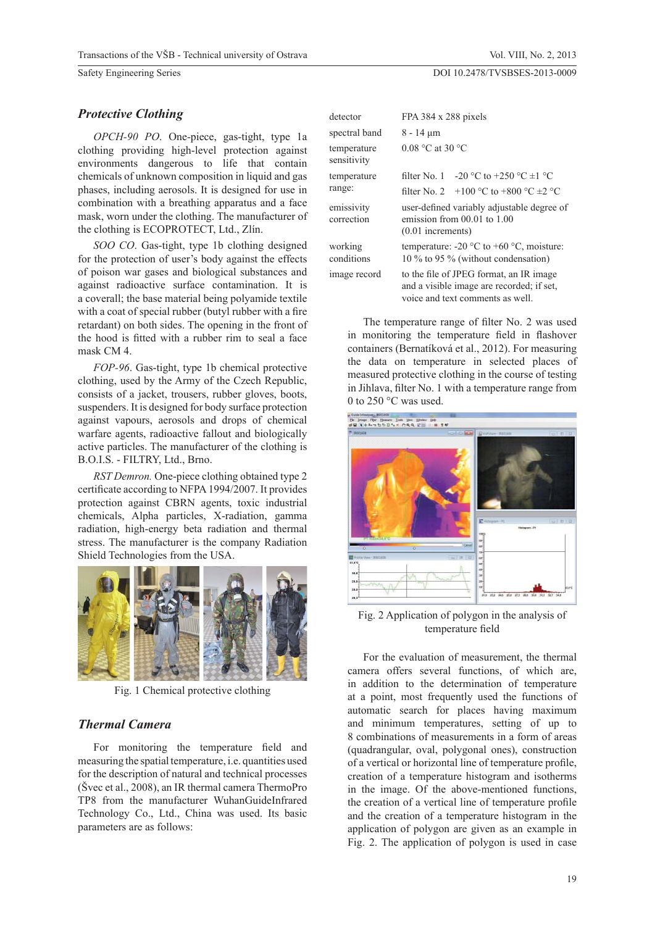#### *Protective Clothing*

*OPCH-90 PO*. One-piece, gas-tight, type 1a clothing providing high-level protection against environments dangerous to life that contain chemicals of unknown composition in liquid and gas phases, including aerosols. It is designed for use in combination with a breathing apparatus and a face mask, worn under the clothing. The manufacturer of the clothing is ECOPROTECT, Ltd., Zlín.

*SOO CO*. Gas-tight, type 1b clothing designed for the protection of user's body against the effects of poison war gases and biological substances and against radioactive surface contamination. It is a coverall; the base material being polyamide textile with a coat of special rubber (butyl rubber with a fire retardant) on both sides. The opening in the front of the hood is fitted with a rubber rim to seal a face mask CM 4.

*FOP-96*. Gas-tight, type 1b chemical protective clothing, used by the Army of the Czech Republic, consists of a jacket, trousers, rubber gloves, boots, suspenders. It is designed for body surface protection against vapours, aerosols and drops of chemical warfare agents, radioactive fallout and biologically active particles. The manufacturer of the clothing is B.O.I.S. - FILTRY, Ltd., Brno.

*RST Demron.* One-piece clothing obtained type 2 certificate according to NFPA 1994/2007. It provides protection against CBRN agents, toxic industrial chemicals, Alpha particles, X-radiation, gamma radiation, high-energy beta radiation and thermal stress. The manufacturer is the company Radiation Shield Technologies from the USA.



Fig. 1 Chemical protective clothing

#### *Thermal Camera*

For monitoring the temperature field and measuring the spatial temperature, i.e. quantities used for the description of natural and technical processes (Švec et al., 2008), an IR thermal camera ThermoPro TP8 from the manufacturer WuhanGuideInfrared Technology Co., Ltd., China was used. Its basic parameters are as follows:

| detector                   | FPA $384 \times 288$ pixels                                                                                              |  |  |  |  |  |  |
|----------------------------|--------------------------------------------------------------------------------------------------------------------------|--|--|--|--|--|--|
| spectral band              | $8 - 14 \mu m$                                                                                                           |  |  |  |  |  |  |
| temperature<br>sensitivity | $0.08$ °C at 30 °C                                                                                                       |  |  |  |  |  |  |
| temperature                | -20 °C to +250 °C $\pm$ 1 °C<br>filter $No. 1$                                                                           |  |  |  |  |  |  |
| range:                     | filter No. 2 $\pm 100$ °C to $\pm 800$ °C $\pm 2$ °C                                                                     |  |  |  |  |  |  |
| emissivity<br>correction   | user-defined variably adjustable degree of<br>emission from $00.01$ to $1.00$<br>$(0.01$ increments)                     |  |  |  |  |  |  |
| working<br>conditions      | temperature: -20 $\mathrm{^{\circ}C}$ to +60 $\mathrm{^{\circ}C}$ , moisture:<br>10 % to 95 % (without condensation)     |  |  |  |  |  |  |
| image record               | to the file of JPEG format, an IR image<br>and a visible image are recorded; if set,<br>voice and text comments as well. |  |  |  |  |  |  |

The temperature range of filter No. 2 was used in monitoring the temperature field in flashover containers (Bernatíková et al., 2012). For measuring the data on temperature in selected places of measured protective clothing in the course of testing in Jihlava, filter No. 1 with a temperature range from 0 to 250 °C was used.



Fig. 2 Application of polygon in the analysis of temperature field

For the evaluation of measurement, the thermal camera offers several functions, of which are, in addition to the determination of temperature at a point, most frequently used the functions of automatic search for places having maximum and minimum temperatures, setting of up to 8 combinations of measurements in a form of areas (quadrangular, oval, polygonal ones), construction of a vertical or horizontal line of temperature profile, creation of a temperature histogram and isotherms in the image. Of the above-mentioned functions, the creation of a vertical line of temperature profile and the creation of a temperature histogram in the application of polygon are given as an example in Fig. 2. The application of polygon is used in case

#### DOI 10.2478/TVSBSES-2013-0009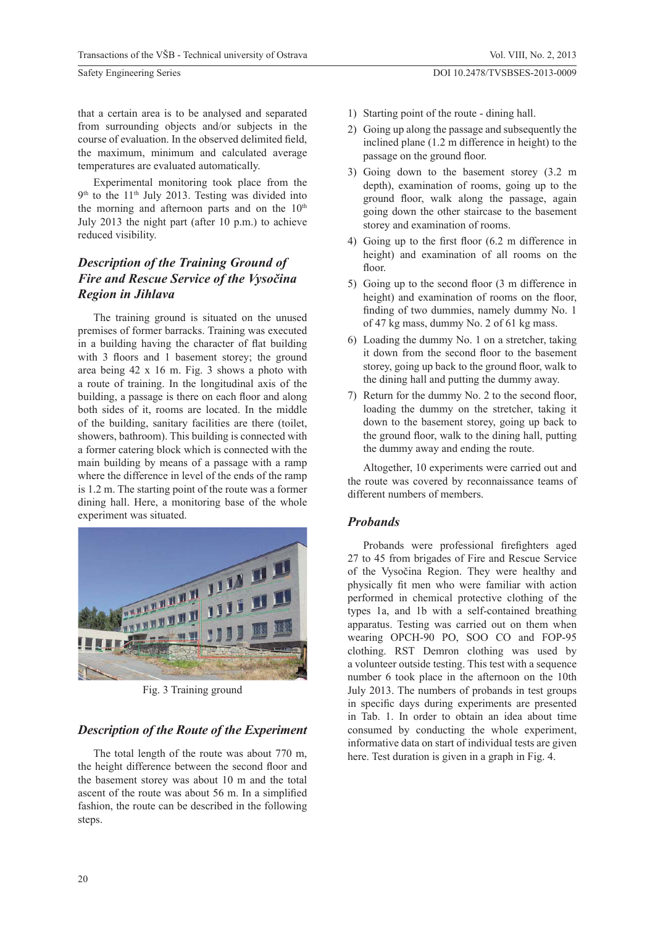that a certain area is to be analysed and separated from surrounding objects and/or subjects in the course of evaluation. In the observed delimited field, the maximum, minimum and calculated average temperatures are evaluated automatically.

Experimental monitoring took place from the  $9<sup>th</sup>$  to the 11<sup>th</sup> July 2013. Testing was divided into the morning and afternoon parts and on the  $10<sup>th</sup>$ July 2013 the night part (after 10 p.m.) to achieve reduced visibility.

## *Description of the Training Ground of Fire and Rescue Service of the Vysočina Region in Jihlava*

The training ground is situated on the unused premises of former barracks. Training was executed in a building having the character of flat building with  $3$  floors and  $1$  basement storey; the ground area being 42 x 16 m. Fig. 3 shows a photo with a route of training. In the longitudinal axis of the building, a passage is there on each floor and along both sides of it, rooms are located. In the middle of the building, sanitary facilities are there (toilet, showers, bathroom). This building is connected with a former catering block which is connected with the main building by means of a passage with a ramp where the difference in level of the ends of the ramp is 1.2 m. The starting point of the route was a former dining hall. Here, a monitoring base of the whole experiment was situated.



Fig. 3 Training ground

### *Description of the Route of the Experiment*

The total length of the route was about 770 m, the height difference between the second floor and the basement storey was about 10 m and the total ascent of the route was about 56 m. In a simplified fashion, the route can be described in the following steps.

- 1) Starting point of the route dining hall.
- 2) Going up along the passage and subsequently the inclined plane (1.2 m difference in height) to the passage on the ground floor.
- 3) Going down to the basement storey (3.2 m depth), examination of rooms, going up to the ground floor, walk along the passage, again going down the other staircase to the basement storey and examination of rooms.
- 4) Going up to the first floor  $(6.2 \text{ m}$  difference in height) and examination of all rooms on the floor.
- 5) Going up to the second floor  $(3 \text{ m difference in})$ height) and examination of rooms on the floor, finding of two dummies, namely dummy No. 1 of 47 kg mass, dummy No. 2 of 61 kg mass.
- 6) Loading the dummy No. 1 on a stretcher, taking it down from the second floor to the basement storey, going up back to the ground floor, walk to the dining hall and putting the dummy away.
- 7) Return for the dummy No. 2 to the second floor. loading the dummy on the stretcher, taking it down to the basement storey, going up back to the ground floor, walk to the dining hall, putting the dummy away and ending the route.

Altogether, 10 experiments were carried out and the route was covered by reconnaissance teams of different numbers of members.

### *Probands*

Probands were professional firefighters aged 27 to 45 from brigades of Fire and Rescue Service of the Vysočina Region. They were healthy and physically fit men who were familiar with action performed in chemical protective clothing of the types 1a, and 1b with a self-contained breathing apparatus. Testing was carried out on them when wearing OPCH-90 PO, SOO CO and FOP-95 clothing. RST Demron clothing was used by a volunteer outside testing. This test with a sequence number 6 took place in the afternoon on the 10th July 2013. The numbers of probands in test groups in specific days during experiments are presented in Tab. 1. In order to obtain an idea about time consumed by conducting the whole experiment, informative data on start of individual tests are given here. Test duration is given in a graph in Fig. 4.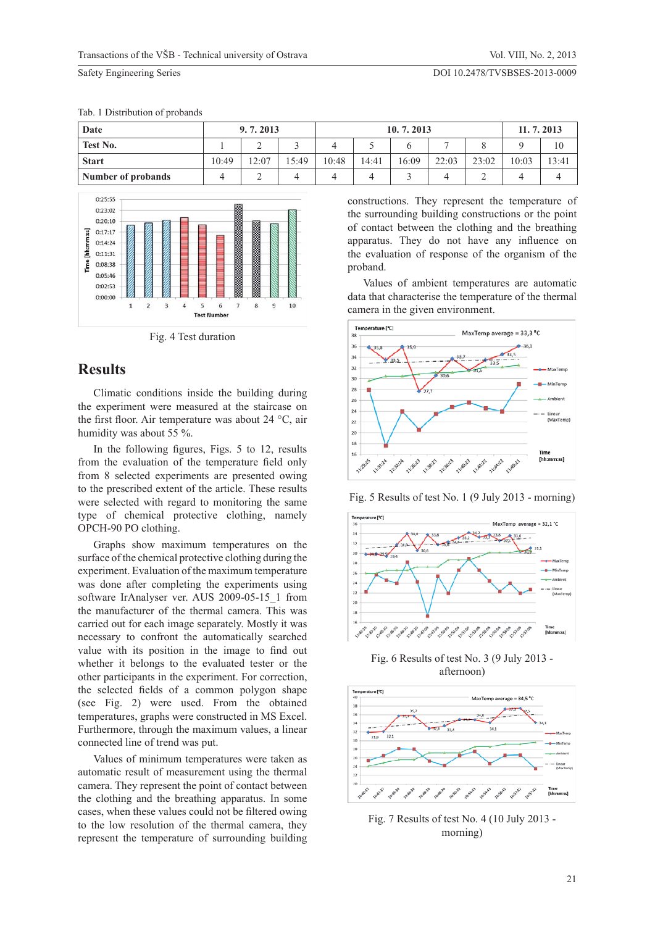| Date               | 9.7.2013 |       |       | 10.7.2013 |       |       |       |       | 11.7.2013 |       |
|--------------------|----------|-------|-------|-----------|-------|-------|-------|-------|-----------|-------|
| Test No.           |          | ∼     |       |           |       |       |       |       |           | 10    |
| <b>Start</b>       | 10:49    | 12:07 | 15:49 | 10:48     | 14:41 | 16:09 | 22:03 | 23:02 | 10:03     | 13:41 |
| Number of probands |          |       |       |           | ◢     |       |       |       | 4         |       |

#### Tab. 1 Distribution of probands



Fig. 4 Test duration

### **Results**

 $0:25:55$ 

Climatic conditions inside the building during the experiment were measured at the staircase on the first floor. Air temperature was about 24  $^{\circ}$ C, air humidity was about 55 %.

In the following figures, Figs. 5 to 12, results from the evaluation of the temperature field only from 8 selected experiments are presented owing to the prescribed extent of the article. These results were selected with regard to monitoring the same type of chemical protective clothing, namely OPCH-90 PO clothing.

Graphs show maximum temperatures on the surface of the chemical protective clothing during the experiment. Evaluation of the maximum temperature was done after completing the experiments using software IrAnalyser ver. AUS 2009-05-15\_1 from the manufacturer of the thermal camera. This was carried out for each image separately. Mostly it was necessary to confront the automatically searched value with its position in the image to find out whether it belongs to the evaluated tester or the other participants in the experiment. For correction, the selected fields of a common polygon shape (see Fig. 2) were used. From the obtained temperatures, graphs were constructed in MS Excel. Furthermore, through the maximum values, a linear connected line of trend was put.

Values of minimum temperatures were taken as automatic result of measurement using the thermal camera. They represent the point of contact between the clothing and the breathing apparatus. In some cases, when these values could not be filtered owing to the low resolution of the thermal camera, they represent the temperature of surrounding building constructions. They represent the temperature of the surrounding building constructions or the point of contact between the clothing and the breathing apparatus. They do not have any influence on the evaluation of response of the organism of the proband.

Values of ambient temperatures are automatic data that characterise the temperature of the thermal camera in the given environment.







Fig. 6 Results of test No. 3 (9 July 2013 afternoon)



Fig. 7 Results of test No. 4 (10 July 2013 morning)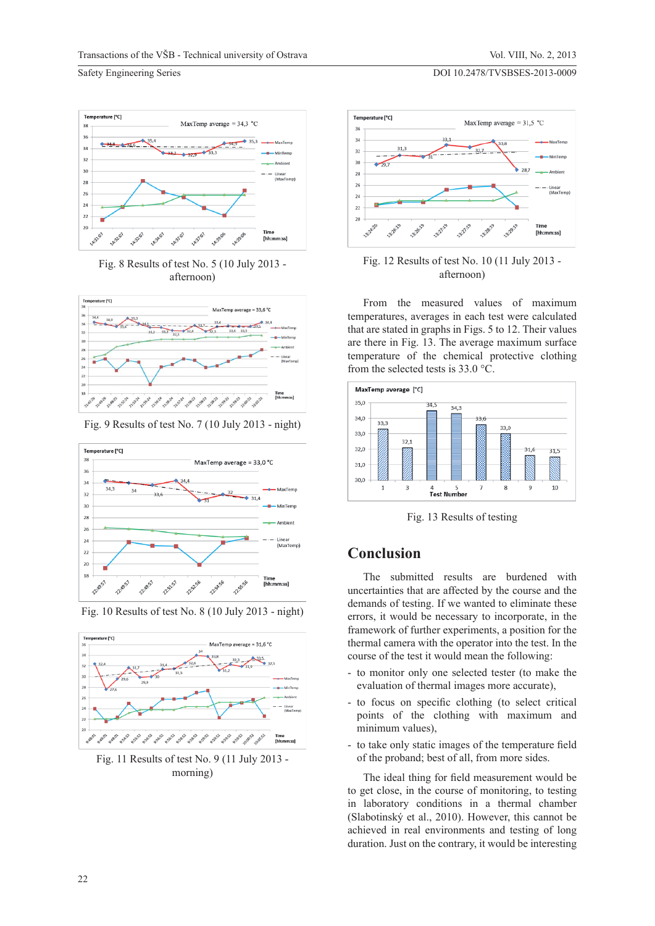

Fig. 8 Results of test No. 5 (10 July 2013 afternoon)



Fig. 9 Results of test No. 7 (10 July 2013 - night)



Fig. 10 Results of test No. 8 (10 July 2013 - night)



Fig. 11 Results of test No. 9 (11 July 2013 morning)





From the measured values of maximum temperatures, averages in each test were calculated that are stated in graphs in Figs. 5 to 12. Their values are there in Fig. 13. The average maximum surface temperature of the chemical protective clothing from the selected tests is 33.0 °C.



Fig. 13 Results of testing

## **Conclusion**

The submitted results are burdened with uncertainties that are affected by the course and the demands of testing. If we wanted to eliminate these errors, it would be necessary to incorporate, in the framework of further experiments, a position for the thermal camera with the operator into the test. In the course of the test it would mean the following:

- to monitor only one selected tester (to make the evaluation of thermal images more accurate),
- to focus on specific clothing (to select critical points of the clothing with maximum and minimum values),
- to take only static images of the temperature field of the proband; best of all, from more sides.

The ideal thing for field measurement would be to get close, in the course of monitoring, to testing in laboratory conditions in a thermal chamber (Slabotinský et al., 2010). However, this cannot be achieved in real environments and testing of long duration. Just on the contrary, it would be interesting

DOI 10.2478/TVSBSES-2013-0009